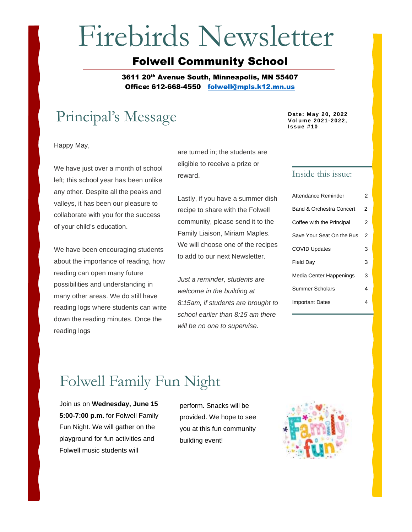# Firebirds Newsletter

## Folwell Community School

3611 20<sup>th</sup> Avenue South, Minneapolis, MN 55407 Office: 612-668-4550 [folwell@mpls.k12.mn.us](mailto:folwell@mpls.k12.mn.us)

# Principal's Message **Date: May 20, 2022**

Happy May,

We have just over a month of school left; this school year has been unlike any other. Despite all the peaks and valleys, it has been our pleasure to collaborate with you for the success of your child's education.

We have been encouraging students about the importance of reading, how reading can open many future possibilities and understanding in many other areas. We do still have reading logs where students can write down the reading minutes. Once the reading logs

are turned in; the students are eligible to receive a prize or reward.

Lastly, if you have a summer dish recipe to share with the Folwell community, please send it to the Family Liaison, Miriam Maples. We will choose one of the recipes to add to our next Newsletter.

*Just a reminder, students are welcome in the building at 8:15am, if students are brought to school earlier than 8:15 am there will be no one to supervise.*

**Volume 2021-2022, Issue #10**

## Inside this issue:

| Attendance Reminder                 | 2 |
|-------------------------------------|---|
| <b>Band &amp; Orchestra Concert</b> | 2 |
| Coffee with the Principal           | 2 |
| Save Your Seat On the Bus           | 2 |
| <b>COVID Updates</b>                | 3 |
| <b>Field Day</b>                    | 3 |
| Media Center Happenings             | 3 |
| Summer Scholars                     | 4 |
| <b>Important Dates</b>              | 4 |

# Folwell Family Fun Night

Join us on **Wednesday, June 15 5:00-7:00 p.m.** for Folwell Family Fun Night. We will gather on the playground for fun activities and Folwell music students will

perform. Snacks will be provided. We hope to see you at this fun community building event!

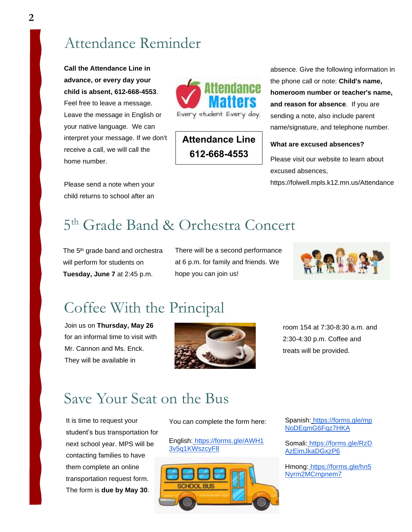## Attendance Reminder

**Call the Attendance Line in advance, or every day your child is absent, 612-668-4553**. Feel free to leave a message. Leave the message in English or your native language. We can interpret your message. If we don't receive a call, we will call the home number.

Please send a note when your child returns to school after an



## **Attendance Line 612-668-4553**

absence. Give the following information in the phone call or note: **Child's name, homeroom number or teacher's name, and reason for absence**. If you are sending a note, also include parent name/signature, and telephone number.

## **What are excused absences?**

Please visit our website to learn about excused absences,

https://folwell.mpls.k12.mn.us/Attendance

# 5 th Grade Band & Orchestra Concert

The 5<sup>th</sup> grade band and orchestra will perform for students on **Tuesday, June 7** at 2:45 p.m.

There will be a second performance at 6 p.m. for family and friends. We hope you can join us!



# Coffee With the Principal

Join us on **Thursday, May 26** for an informal time to visit with Mr. Cannon and Ms. Enck. They will be available in



room 154 at 7:30-8:30 a.m. and 2:30-4:30 p.m. Coffee and treats will be provided.

# Save Your Seat on the Bus

It is time to request your student's bus transportation for next school year. MPS will be contacting families to have them complete an online transportation request form. The form is **due by May 30**.

You can complete the form here:

English: [https://forms.gle/AWH1](https://forms.gle/AWH13v5q1KWszcyF8) [3v5q1KWszcyF8](https://forms.gle/AWH13v5q1KWszcyF8)



Spanish: [https://forms.gle/mp](https://forms.gle/mpNoDEqmG6Fqz7HKA) [NoDEqmG6Fqz7HKA](https://forms.gle/mpNoDEqmG6Fqz7HKA)

Somali: [https://forms.gle/RzD](https://forms.gle/RzDAzEimJkaDGxzP6) [AzEimJkaDGxzP6](https://forms.gle/RzDAzEimJkaDGxzP6)

Hmong: [https://forms.gle/hn5](https://forms.gle/hn5Nyrm2MCrnpnem7) [Nyrm2MCrnpnem7](https://forms.gle/hn5Nyrm2MCrnpnem7)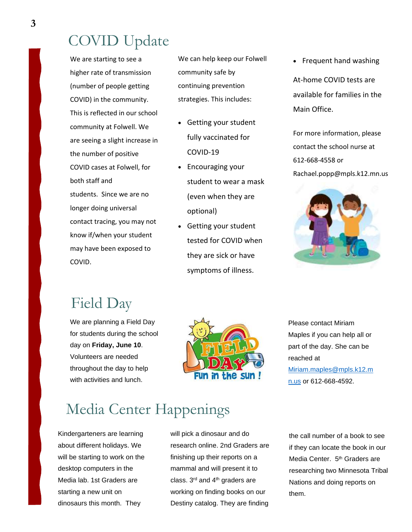## COVID Update

We are starting to see a higher rate of transmission (number of people getting COVID) in the community. This is reflected in our school community at Folwell. We are seeing a slight increase in the number of positive COVID cases at Folwell, for both staff and students. Since we are no longer doing universal contact tracing, you may not know if/when your student may have been exposed to COVID.

We can help keep our Folwell community safe by continuing prevention strategies. This includes:

- Getting your student fully vaccinated for COVID-19
- Encouraging your student to wear a mask (even when they are optional)
- Getting your student tested for COVID when they are sick or have symptoms of illness.

• Frequent hand washing

At-home COVID tests are available for families in the Main Office.

For more information, please contact the school nurse at 612-668-4558 or Rachael.popp@mpls.k12.mn.us



# Field Day

We are planning a Field Day for students during the school day on **Friday, June 10**. Volunteers are needed throughout the day to help with activities and lunch.



Please contact Miriam Maples if you can help all or part of the day. She can be reached at [Miriam.maples@mpls.k12.m](mailto:Miriam.maples@mpls.k12.mn.us) [n.us](mailto:Miriam.maples@mpls.k12.mn.us) or 612-668-4592.

# Media Center Happenings

Kindergarteners are learning about different holidays. We will be starting to work on the desktop computers in the Media lab. 1st Graders are starting a new unit on dinosaurs this month. They

will pick a dinosaur and do research online. 2nd Graders are finishing up their reports on a mammal and will present it to class. 3<sup>rd</sup> and 4<sup>th</sup> graders are working on finding books on our Destiny catalog. They are finding

the call number of a book to see if they can locate the book in our Media Center. 5<sup>th</sup> Graders are researching two Minnesota Tribal Nations and doing reports on them.